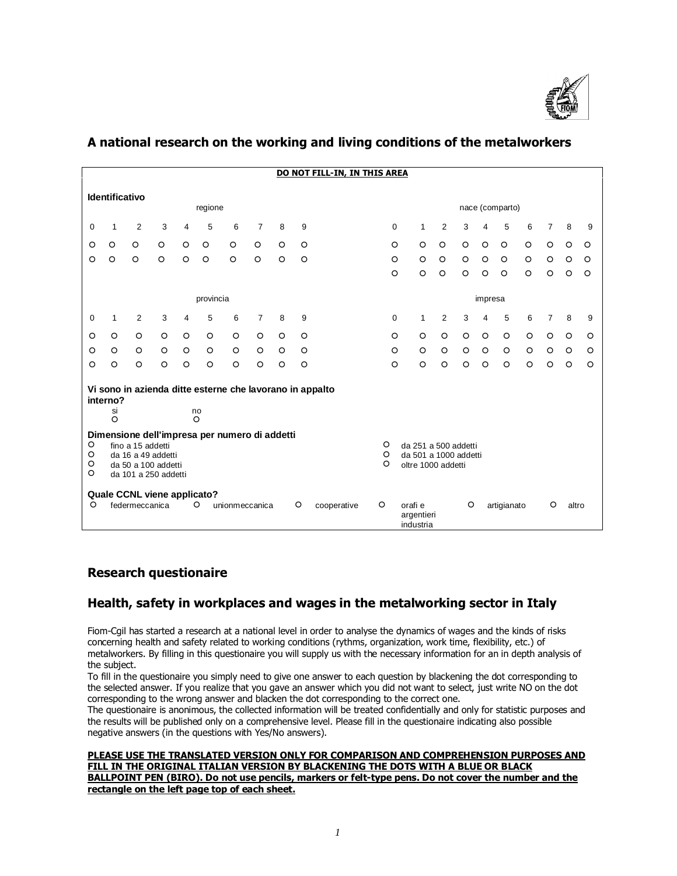

|                                                     | DO NOT FILL-IN, IN THIS AREA                                                                                                            |                                               |         |         |               |                   |                                                                     |         |                                                          |             |                                    |                |         |         |             |         |                |         |         |
|-----------------------------------------------------|-----------------------------------------------------------------------------------------------------------------------------------------|-----------------------------------------------|---------|---------|---------------|-------------------|---------------------------------------------------------------------|---------|----------------------------------------------------------|-------------|------------------------------------|----------------|---------|---------|-------------|---------|----------------|---------|---------|
| <b>Identificativo</b><br>nace (comparto)<br>regione |                                                                                                                                         |                                               |         |         |               |                   |                                                                     |         |                                                          |             |                                    |                |         |         |             |         |                |         |         |
| 0                                                   | $\mathbf{1}$                                                                                                                            | 2                                             | 3       | 4       | 5             | 6                 | 7                                                                   | 8       | 9                                                        | $\mathbf 0$ | $\mathbf{1}$                       | $\overline{2}$ | 3       | 4       | 5           | 6       | $\overline{7}$ | 8       | 9       |
| O                                                   | $\circ$                                                                                                                                 | $\circ$                                       | $\circ$ | $\circ$ | $\circ$       | $\circ$           | $\circ$                                                             | $\circ$ | $\circ$                                                  | O           | $\circ$                            | $\circ$        | $\circ$ | $\circ$ | $\circ$     | $\circ$ | $\circ$        | $\circ$ | $\circ$ |
| $\circ$                                             | $\circ$                                                                                                                                 | $\circ$                                       | $\circ$ | $\circ$ | $\circ$       | $\circ$           | $\circ$                                                             | $\circ$ | $\circ$                                                  | $\circ$     | $\circ$                            | $\circ$        | $\circ$ | $\circ$ | $\circ$     | $\circ$ | $\circ$        | $\circ$ | $\circ$ |
|                                                     |                                                                                                                                         |                                               |         |         |               |                   |                                                                     |         |                                                          | $\circ$     | $\circ$                            | $\circ$        | $\circ$ | O       | $\circ$     | $\circ$ | $\circ$        | $\circ$ | $\circ$ |
|                                                     | provincia                                                                                                                               |                                               |         |         |               |                   |                                                                     |         |                                                          |             |                                    | impresa        |         |         |             |         |                |         |         |
| 0                                                   | $\mathbf{1}$                                                                                                                            | 2                                             | 3       | 4       | 5             | 6                 | $\overline{7}$                                                      | 8       | 9                                                        | 0           | 1                                  | 2              | 3       | 4       | 5           | 6       | $\overline{7}$ | 8       | 9       |
| O                                                   | $\circ$                                                                                                                                 | $\circ$                                       | $\circ$ | $\circ$ | $\circ$       | $\circ$           | $\circ$                                                             | $\circ$ | $\circ$                                                  | $\circ$     | $\circ$                            | $\circ$        | $\circ$ | $\circ$ | $\circ$     | $\circ$ | $\circ$        | $\circ$ | $\circ$ |
| O                                                   | $\circ$                                                                                                                                 | $\circ$                                       | $\circ$ | $\circ$ | $\circ$       | $\circ$           | $\circ$                                                             | $\circ$ | $\circ$                                                  | $\circ$     | $\circ$                            | $\circ$        | $\circ$ | $\circ$ | $\circ$     | $\circ$ | $\circ$        | $\circ$ | $\circ$ |
| $\circ$                                             | $\circ$                                                                                                                                 | $\circ$                                       | $\circ$ | $\circ$ | $\circ$       | $\circ$           | $\circ$                                                             | $\circ$ | $\circ$                                                  | $\circ$     | $\circ$                            | $\circ$        | $\circ$ | $\circ$ | $\circ$     | $\circ$ | $\circ$        | $\circ$ | $\circ$ |
|                                                     | interno?<br>si<br>$\circ$                                                                                                               |                                               |         |         | no<br>$\circ$ |                   |                                                                     |         | Vi sono in azienda ditte esterne che lavorano in appalto |             |                                    |                |         |         |             |         |                |         |         |
| $\circ$<br>$\circ$<br>O<br>$\circ$                  | Dimensione dell'impresa per numero di addetti<br>fino a 15 addetti<br>da 16 a 49 addetti<br>da 50 a 100 addetti<br>da 101 a 250 addetti |                                               |         |         |               | O<br>$\circ$<br>O | da 251 a 500 addetti<br>da 501 a 1000 addetti<br>oltre 1000 addetti |         |                                                          |             |                                    |                |         |         |             |         |                |         |         |
| O                                                   |                                                                                                                                         | Quale CCNL viene applicato?<br>federmeccanica |         |         | $\circ$       | unionmeccanica    |                                                                     |         | O<br>cooperative                                         | $\circ$     | orafi e<br>argentieri<br>industria |                | O       |         | artigianato |         | O              | altro   |         |

# **A national research on the working and living conditions of the metalworkers**

# **Research questionaire**

# **Health, safety in workplaces and wages in the metalworking sector in Italy**

Fiom-Cgil has started a research at a national level in order to analyse the dynamics of wages and the kinds of risks concerning health and safety related to working conditions (rythms, organization, work time, flexibility, etc.) of metalworkers. By filling in this questionaire you will supply us with the necessary information for an in depth analysis of the subject.

To fill in the questionaire you simply need to give one answer to each question by blackening the dot corresponding to the selected answer. If you realize that you gave an answer which you did not want to select, just write NO on the dot corresponding to the wrong answer and blacken the dot corresponding to the correct one.

The questionaire is anonimous, the collected information will be treated confidentially and only for statistic purposes and the results will be published only on a comprehensive level. Please fill in the questionaire indicating also possible negative answers (in the questions with Yes/No answers).

**PLEASE USE THE TRANSLATED VERSION ONLY FOR COMPARISON AND COMPREHENSION PURPOSES AND FILL IN THE ORIGINAL ITALIAN VERSION BY BLACKENING THE DOTS WITH A BLUE OR BLACK BALLPOINT PEN (BIRO). Do not use pencils, markers or felt-type pens. Do not cover the number and the rectangle on the left page top of each sheet.**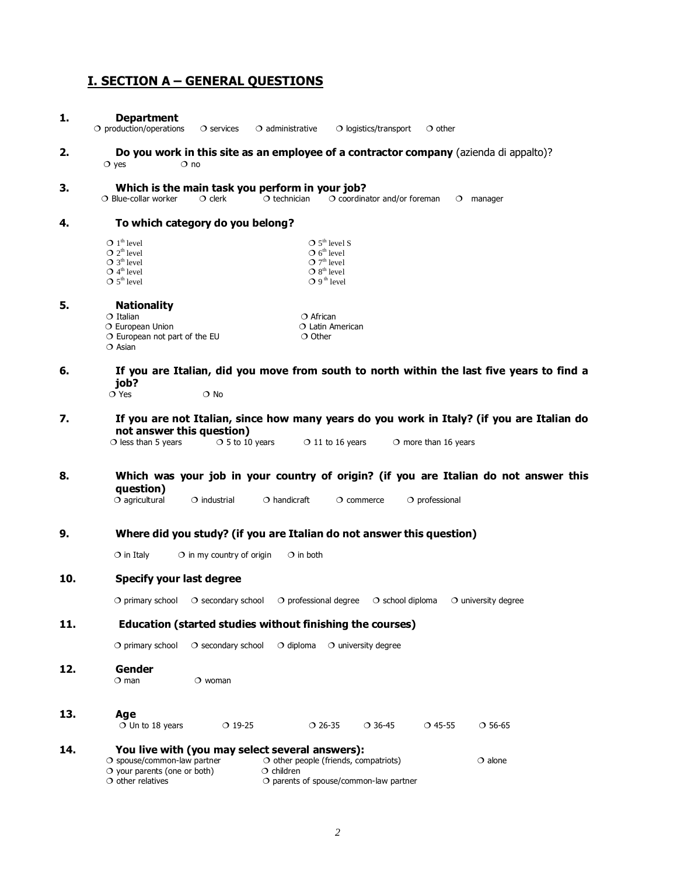# **I. SECTION A – GENERAL QUESTIONS**

| 1.  | <b>Department</b><br>$\bigcirc$ production/operations<br>$\circ$ administrative<br>$\circ$ logistics/transport<br>$\circ$ other<br>$\circ$ services                                                                                                                                          |
|-----|----------------------------------------------------------------------------------------------------------------------------------------------------------------------------------------------------------------------------------------------------------------------------------------------|
| 2.  | Do you work in this site as an employee of a contractor company (azienda di appalto)?<br>$\circ$ yes<br>$\circ$ no                                                                                                                                                                           |
| 3.  | Which is the main task you perform in your job?<br>$\bigcirc$ Blue-collar worker<br>$\circ$ clerk<br>$\circ$ technician<br>$\circ$ coordinator and/or foreman<br>$O$ manager                                                                                                                 |
| 4.  | To which category do you belong?                                                                                                                                                                                                                                                             |
|     | $O_1$ <sup>th</sup> level<br>$\bigcirc$ 5 <sup>th</sup> level S<br>$O 2th$ level<br>$\bigcirc$ 6 <sup>th</sup> level<br>$\bigcirc$ 7 <sup>th</sup> level<br>$O 3th$ level<br>$O$ 4 <sup>th</sup> level<br>$O 8th$ level<br>$O 5th$ level<br>$O 9th$ level                                    |
| 5.  | <b>Nationality</b><br>$\circ$ Italian<br>$\circ$ African<br>O European Union<br>$\circ$ Latin American<br>$\circ$ European not part of the EU<br>$\circ$ Other<br>$\bigcirc$ Asian                                                                                                           |
| 6.  | If you are Italian, did you move from south to north within the last five years to find a<br>job?<br>$\circ$ Yes<br>$\bigcirc$ No                                                                                                                                                            |
| 7.  | If you are not Italian, since how many years do you work in Italy? (if you are Italian do<br>not answer this question)<br>$\circ$ less than 5 years<br>$O$ 5 to 10 years<br>$\bigcirc$ 11 to 16 years<br>$\circ$ more than 16 years                                                          |
| 8.  | Which was your job in your country of origin? (if you are Italian do not answer this<br>question)<br>$O$ agricultural<br>$\circ$ industrial<br>$\circ$ handicraft<br>$\circ$ commerce<br>$\circ$ professional                                                                                |
| 9.  | Where did you study? (if you are Italian do not answer this question)                                                                                                                                                                                                                        |
|     | $\circ$ in Italy<br>$\circ$ in my country of origin<br>$\circ$ in both                                                                                                                                                                                                                       |
| 10. | <b>Specify your last degree</b>                                                                                                                                                                                                                                                              |
|     | $\bigcirc$ primary school $\bigcirc$ secondary school $\bigcirc$ professional degree $\bigcirc$ school diploma $\bigcirc$ university degree                                                                                                                                                  |
| 11. | Education (started studies without finishing the courses)                                                                                                                                                                                                                                    |
|     | $\circ$ secondary school<br>$\circ$ diploma<br>$\circ$ university degree<br>$\circ$ primary school                                                                                                                                                                                           |
| 12. | Gender<br>$\circ$ man<br>$\circ$ woman                                                                                                                                                                                                                                                       |
| 13. | Age<br>$\bigcirc$ Un to 18 years<br>$O$ 19-25<br>$O$ 26-35<br>$O$ 36-45<br>$O$ 45-55<br>$O$ 56-65                                                                                                                                                                                            |
| 14. | You live with (you may select several answers):<br>$\circ$ spouse/common-law partner<br>$\circ$ other people (friends, compatriots)<br>$\circ$ alone<br>$\bigcirc$ your parents (one or both)<br>$\circ$ children<br>$\circ$ other relatives<br>$\circ$ parents of spouse/common-law partner |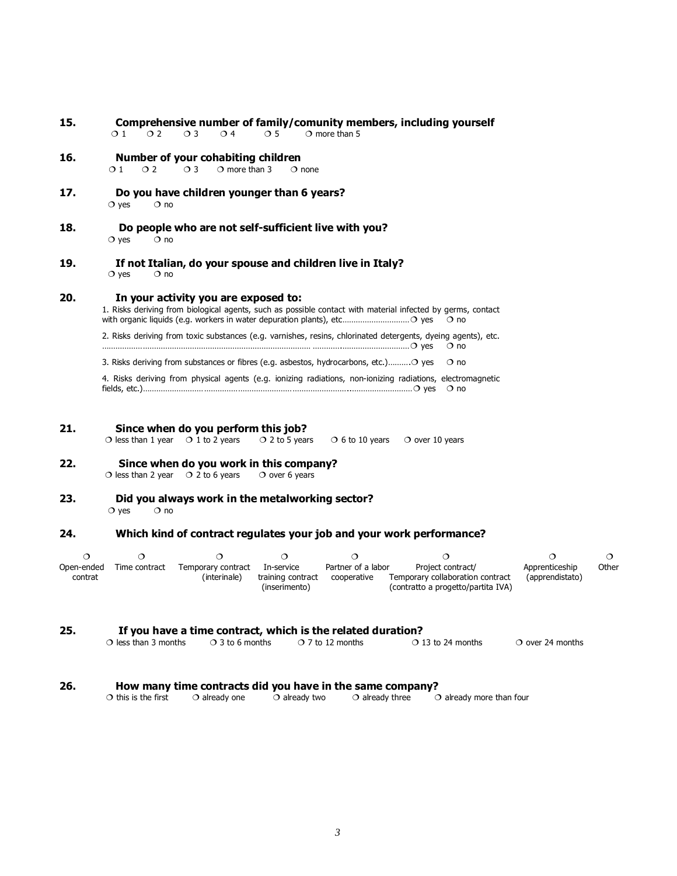| 15. | Comprehensive number of family/comunity members, including yourself                                                                                 |  |  |  |  |  |  |  |  |  |
|-----|-----------------------------------------------------------------------------------------------------------------------------------------------------|--|--|--|--|--|--|--|--|--|
|     | $\bigcirc$ 4<br>$\bigcirc$ 5 $\bigcirc$ more than 5<br>$01 \quad 02 \quad 03$                                                                       |  |  |  |  |  |  |  |  |  |
| 16. | Number of your cohabiting children<br>$\circ$ more than 3<br>$\Omega$ 1<br>$\Omega$<br>$\Omega$ 3<br>$\Omega$ none                                  |  |  |  |  |  |  |  |  |  |
| 17. | Do you have children younger than 6 years?<br>$\circ$ ves<br>$\circ$ no                                                                             |  |  |  |  |  |  |  |  |  |
| 18. | Do people who are not self-sufficient live with you?<br>$\circ$ ves<br>$\circ$ no                                                                   |  |  |  |  |  |  |  |  |  |
| 19. | If not Italian, do your spouse and children live in Italy?<br>$\Omega$ no<br>$\circ$ yes                                                            |  |  |  |  |  |  |  |  |  |
| 20. | In your activity you are exposed to:<br>1. Risks deriving from biological agents, such as possible contact with material infected by germs, contact |  |  |  |  |  |  |  |  |  |
|     | 2. Risks deriving from toxic substances (e.g. varnishes, resins, chlorinated detergents, dyeing agents), etc.<br>$\circ$ no                         |  |  |  |  |  |  |  |  |  |
|     | 3. Risks deriving from substances or fibres (e.g. asbestos, hydrocarbons, etc.) O yes<br>$\Omega$ no                                                |  |  |  |  |  |  |  |  |  |
|     | 4. Risks deriving from physical agents (e.g. ionizing radiations, non-ionizing radiations, electromagnetic                                          |  |  |  |  |  |  |  |  |  |

# **21. Since when do you perform this job?**<br>O less than 1 year 0 1 to 2 years 0 2 to 5 years

 $\overline{O}$  less than 1 year  $\overline{O}$  1 to 2 years  $\overline{O}$  2 to 5 years  $\overline{O}$  6 to 10 years  $\overline{O}$  over 10 years

- **22. Since when do you work in this company?**  $\bigcirc$  less than 2 year  $\bigcirc$  2 to 6 years  $\bigcirc$  over 6 years
- **23. Did you always work in the metalworking sector?**  $Q$  yes  $Q$  no

### **24. Which kind of contract regulates your job and your work performance?**

| Open-ended | Time contract | Temporary contract In-service |                   | Partner of a labor | Project contract/                  | Apprenticeship  | Other |
|------------|---------------|-------------------------------|-------------------|--------------------|------------------------------------|-----------------|-------|
| contrat    |               | (interinale)                  | training contract | cooperative        | Temporary collaboration contract   | (apprendistato) |       |
|            |               |                               | (inserimento)     |                    | (contratto a progetto/partita IVA) |                 |       |

# **25. If you have a time contract, which is the related duration?**

| $\circ$ over 24 months<br>$\bigcirc$ 7 to 12 months<br>$\circ$ 3 to 6 months<br>$\circ$ 13 to 24 months<br>$\circ$ less than 3 months |  |
|---------------------------------------------------------------------------------------------------------------------------------------|--|
|---------------------------------------------------------------------------------------------------------------------------------------|--|

#### **26. How many time contracts did you have in the same company?**

 $\overline{O}$  this is the first  $\overline{O}$  already one  $\overline{O}$  already three  $\overline{O}$  already more than four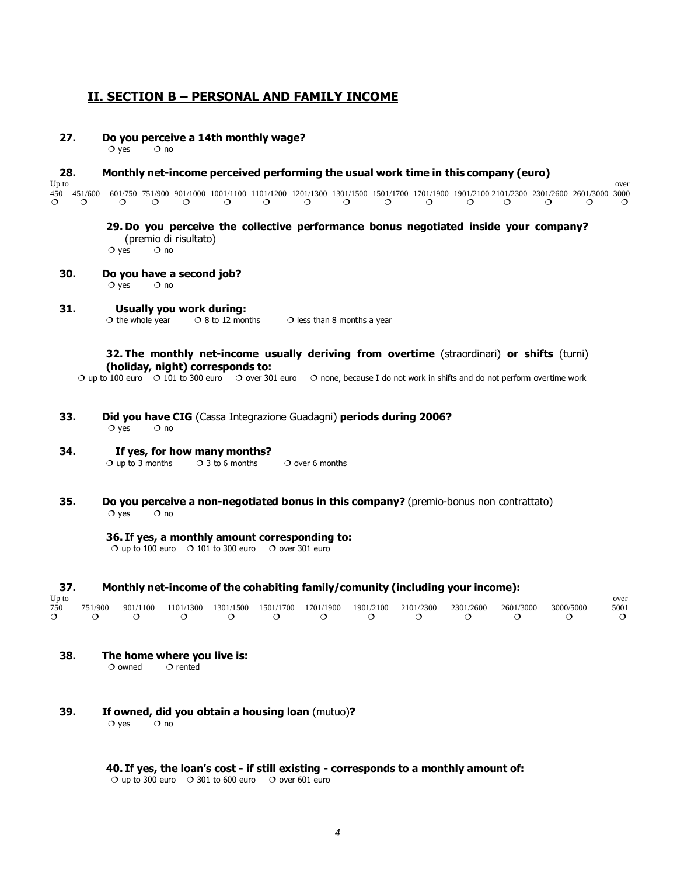### **II. SECTION B – PERSONAL AND FAMILY INCOME**

**27. Do you perceive a 14th monthly wage?**

 $Q$  yes  $Q$  no

# **28. Monthly net-income perceived performing the usual work time in this company (euro) Up to** the contract of the contract of the contract of the contract of the contract of the contract of the contract of the contract of the contract of the contract of the contract of the contract of the contract of the co 450 451/600 601/750 751/900 901/1000 1001/1100 1101/1200 1201/1300 1301/1500 1501/1700 1701/1900 1901/2100 2101/2300 2301/2600 2601/3000 3000 ¶ ¶ ¶ ¶ ¶ ¶ ¶ ¶ ¶ ¶ ¶ ¶ ¶ ¶ ¶ ¶

# **29. Do you perceive the collective performance bonus negotiated inside your company?** (premio di risultato)<br> $\circ$  yes  $\circ$  no

**30. Do you have a second job?**

 $\bigcirc$  yes  $\bigcirc$  no

**31. Usually you work during:**

 $\overline{O}$  the whole year  $\overline{O}$  8 to 12 months  $\overline{O}$  less than 8 months a year

**32. The monthly net-income usually deriving from overtime** (straordinari) **or shifts** (turni) **(holiday, night) corresponds to:**

 $\bigcirc$  up to 100 euro  $\bigcirc$  101 to 300 euro  $\bigcirc$  over 301 euro  $\bigcirc$  none, because I do not work in shifts and do not perform overtime work

**33. Did you have CIG** (Cassa Integrazione Guadagni) **periods during 2006?** $\bigcirc$  yes  $\bigcirc$  no

#### **34. If yes, for how many months?**<br>O up to 3 months 0 3 to 6 months  $\overline{O}$  up to 3 months  $\overline{O}$  3 to 6 months  $\overline{O}$  over 6 months

**35. Do you perceive a non-negotiated bonus in this company?** (premio-bonus non contrattato)  $\bigcirc$  yes  $\bigcirc$  no

#### **36. If yes, a monthly amount corresponding to:**

 $\circ$  up to 100 euro  $\circ$  101 to 300 euro  $\circ$  over 301 euro

| - 37. |           |           |           |           |                     |          |           |           | Monthly net-income of the cohabiting family/comunity (including your income): |           |           |      |
|-------|-----------|-----------|-----------|-----------|---------------------|----------|-----------|-----------|-------------------------------------------------------------------------------|-----------|-----------|------|
| Up to |           |           |           |           |                     |          |           |           |                                                                               |           |           | over |
| 750   | 751/900   | 901/1100  | 1101/1300 | 1301/1500 | 1501/1700 1701/1900 |          | 1901/2100 | 2101/2300 | 2301/2600                                                                     | 2601/3000 | 3000/5000 | 5001 |
|       | $\bigcap$ | $\bigcap$ | $\cap$    | $\bigcap$ | $\cap$              | $\Omega$ | $\Omega$  |           |                                                                               |           |           |      |

**38. The home where you live is:**<br>  $\circ$  owned  $\circ$  rented

 $\circ$  owned

**39. If owned, did you obtain a housing loan** (mutuo)**?**

 $\bigcirc$  yes  $\bigcirc$  no

#### **40. If yes, the loan's cost - if still existing - corresponds to a monthly amount of:**

 $\circ$  up to 300 euro  $\circ$  301 to 600 euro  $\circ$  over 601 euro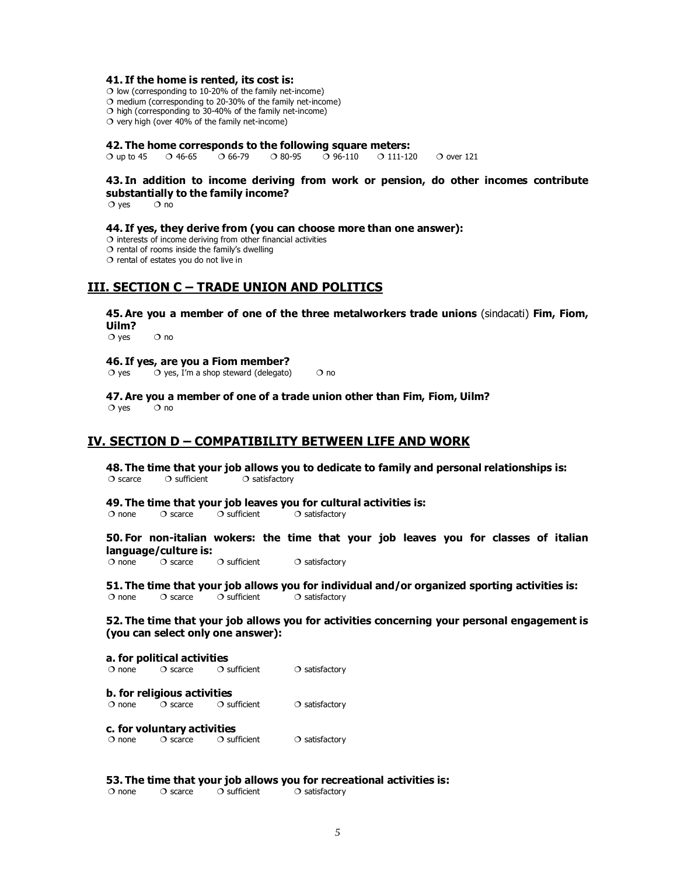#### **41. If the home is rented, its cost is:**

 $\overline{O}$  low (corresponding to 10-20% of the family net-income)

 $\circ$  medium (corresponding to 20-30% of the family net-income)

 $\circ$  high (corresponding to 30-40% of the family net-income)  $\circ$  very high (over 40% of the family net-income)

#### **42. The home corresponds to the following square meters:**

 $\circ$  O up to 45  $\circ$  0 46-65  $\circ$  0 66-79  $\circ$  0 80-95  $\circ$  0 96-110  $\circ$  0 111-120  $\circ$  O over 121

## **43. In addition to income deriving from work or pension, do other incomes contribute substantially to the family income?**

 $Q$  yes  $Q$  no

#### **44. If yes, they derive from (you can choose more than one answer):**

 $\circ$  interests of income deriving from other financial activities

 $\sigma$  rental of rooms inside the family's dwelling

 $\circ$  rental of estates you do not live in

## **III. SECTION C – TRADE UNION AND POLITICS**

**45. Are you a member of one of the three metalworkers trade unions** (sindacati) **Fim, Fiom, Uilm?**

 $Q$  yes  $Q$  no

#### **46. If yes, are you a Fiom member?**

 $\overline{O}$  yes  $\overline{O}$  yes, I'm a shop steward (delegato)  $\overline{O}$  no

**47. Are you a member of one of a trade union other than Fim, Fiom, Uilm?**  $Q$  yes  $Q$  no

## **IV. SECTION D – COMPATIBILITY BETWEEN LIFE AND WORK**

**48. The time that your job allows you to dedicate to family and personal relationships is:** $\bigcirc$  scarce  $\bigcirc$  sufficient  $\bigcirc$  satisfactory

#### **49. The time that your job leaves you for cultural activities is:**

 $\overline{O}$  none  $\overline{O}$  scarce  $\overline{O}$  sufficient  $\overline{O}$  satisfactory

# **50. For non-italian wokers: the time that your job leaves you for classes of italian language/culture is:**

 $\bigcirc$  sufficient  $\bigcirc$  satisfactory

**51. The time that your job allows you for individual and/or organized sporting activities is:**<br>  $\circ$  none  $\circ$  Scarce  $\circ$  S sufficient  $\circ$  satisfactory  $\overline{O}$  none  $\overline{O}$  scarce  $\overline{O}$  sufficient  $\overline{O}$  satisfactory

**52. The time that your job allows you for activities concerning your personal engagement is (you can select only one answer):**

**a. for political activities**<br>  $\circ$  none  $\circ$  o scarce  $\circ$  o sufficient  $\circ$  satisfactory

**b. for religious activities**<br>  $\circ$  none  $\circ$  o scarce  $\circ$  o sufficient  $\circ$  satisfactory

# **c. for voluntary activities**<br>  $\bigcirc$  none  $\bigcirc$  scarce  $\bigcirc$  sufficient

 $\Omega$  satisfactory

# **53. The time that your job allows you for recreational activities is:**<br>  $\circ$  none  $\circ$  Scarce  $\circ$  Sufficient  $\circ$  Satisfactory

 $\circ$  satisfactory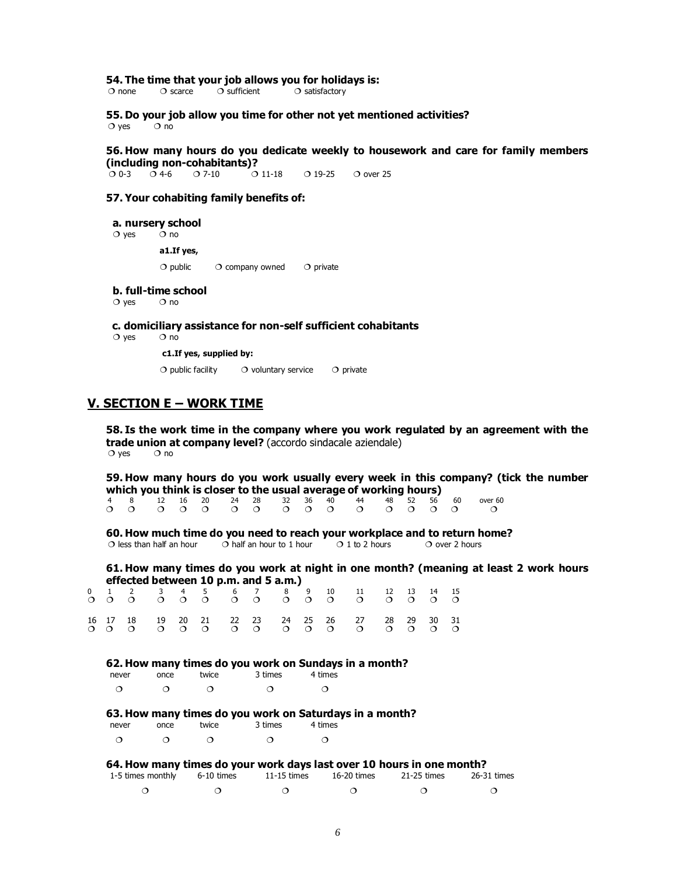**54. The time that your job allows you for holidays is:**<br>  $\circ$  none  $\circ$  Scarce  $\circ$  Sufficient  $\circ$  Satisfactory

 $\bigcirc$  satisfactory

**55. Do your job allow you time for other not yet mentioned activities?**<br>  $\circ$  ves  $\circ$  no  $\circ$  yes

**56. How many hours do you dedicate weekly to housework and care for family members (including non-cohabitants)?**<br>2.0.2. 2.4-6. 2.7-10 2.11-18

 $Q = 0.3$   $Q = 4-6$   $Q = 7-10$   $Q = 11-18$   $Q = 19-25$   $Q = 0$  over 25

#### **57. Your cohabiting family benefits of:**

**a. nursery school** 

 $Q$  yes  $Q$  no

**a1.If yes,**

 $\bigcirc$  public  $\bigcirc$  company owned  $\bigcirc$  private

**b. full-time school** 

 $\bigcirc$  yes  $\bigcirc$  no

 **c. domiciliary assistance for non-self sufficient cohabitants**

 $Q$  yes  $Q$  no

**c1.If yes, supplied by:**

 $\bigcirc$  public facility  $\bigcirc$  voluntary service  $\bigcirc$  private

### **V. SECTION E – WORK TIME**

**58. Is the work time in the company where you work regulated by an agreement with the trade union at company level?** (accordo sindacale aziendale)<br>  $\circ$  yes  $\circ$  0 no

**59. How many hours do you work usually every week in this company? (tick the number which you think is closer to the usual average of working hours)**

 4 8 12 16 20 24 28 32 36 40 44 48 52 56 60 over 60 ¶ ¶ ¶ ¶ ¶ ¶ ¶ ¶ ¶ ¶ ¶ ¶ ¶ ¶ ¶ ¶

**60. How much time do you need to reach your workplace and to return home?**<br>O less than half an hour  $\bigcirc$  half an hour to 1 hour  $\bigcirc$  1 to 2 hours  $\bigcirc$  over 2 hours  $\overline{O}$  half an hour to 1 hour  $\overline{O}$  1 to 2 hours  $\overline{O}$  over 2 hours

**61. How many times do you work at night in one month? (meaning at least 2 work hours effected between 10 p.m. and 5 a.m.)**

|  |  | 0 1 2 3 4 5 6 7 8 9 10 11 12 13 14 15 |  |  | 000 000 000 000 000 00                                                                   |  |  |
|--|--|---------------------------------------|--|--|------------------------------------------------------------------------------------------|--|--|
|  |  |                                       |  |  | 16  17  18  19  20  21  22  23  24  25  26  27  28  29  30  31<br>000 000 000 000 000 00 |  |  |

#### **62. How many times do you work on Sundays in a month?**

| never | once | twice | 3 times | 4 times |
|-------|------|-------|---------|---------|
| ⌒     |      |       |         |         |

#### **63. How many times do you work on Saturdays in a month?**

| never | once | twice | 3 times | 4 times |
|-------|------|-------|---------|---------|
|       |      |       |         |         |

|  | $\circ$ $\circ$ $\circ$ $\circ$ $\circ$ |  |
|--|-----------------------------------------|--|
|  |                                         |  |

#### **64. How many times do your work days last over 10 hours in one month?**

| 1-5 times monthly 6-10 times | 11-15 times | 16-20 times | 21-25 times | 26-31 times |
|------------------------------|-------------|-------------|-------------|-------------|
|                              |             |             |             |             |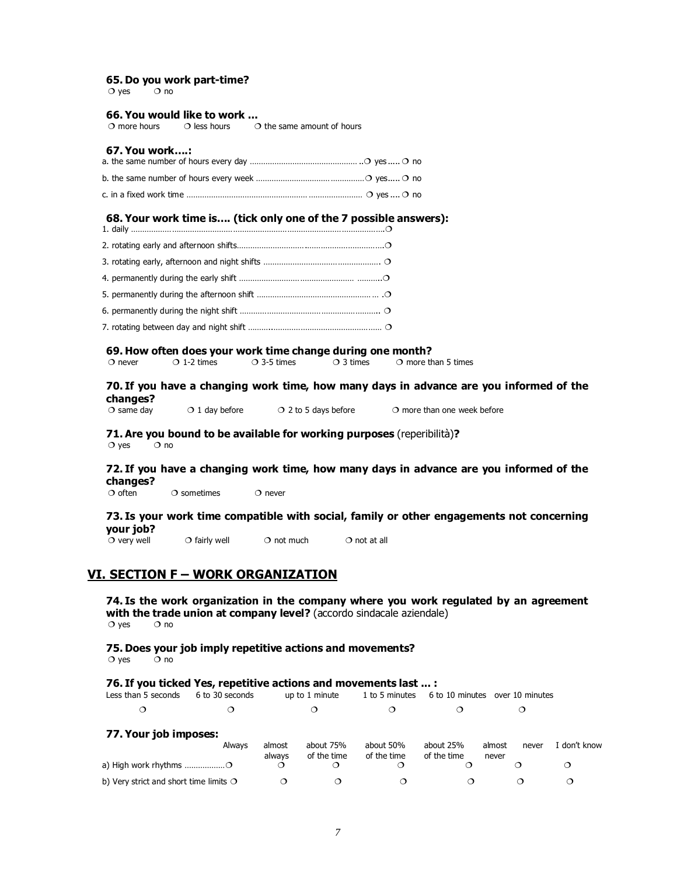# **65. Do you work part-time?**

 $\circ$  yes

# **66. You would like to work ...**<br>  $\circ$  more hours  $\circ$  less hours  $\circ$

 $\circ$  the same amount of hours

#### **67. You work….:**

#### **68. Your work time is…. (tick only one of the 7 possible answers):**

#### **69. How often does your work time change during one month?**

O never  $\overline{O}$  1-2 times  $\overline{O}$  3-5 times  $\overline{O}$  3 times  $\overline{O}$  more than 5 times

# **70. If you have a changing work time, how many days in advance are you informed of the changes?**

 $\overline{O}$  1 day before  $\overline{O}$  2 to 5 days before  $\overline{O}$  more than one week before

#### **71. Are you bound to be available for working purposes** (reperibilità)**?** $\bigcirc$  yes  $\bigcirc$  no

# **72. If you have a changing work time, how many days in advance are you informed of the changes?**

 $\bigcirc$  sometimes  $\bigcirc$  never

#### **73. Is your work time compatible with social, family or other engagements not concerning your job?**

 $\overline{O}$  very well  $\overline{O}$  fairly well  $\overline{O}$  not much  $\overline{O}$  not at all

## **VI. SECTION F – WORK ORGANIZATION**

**74. Is the work organization in the company where you work regulated by an agreement with the trade union at company level?** (accordo sindacale aziendale)  $\circ$  yes  $\circ$  no

# **75. Does your job imply repetitive actions and movements?**

 $\bigcirc$  yes  $\bigcirc$  no

# **76. If you ticked Yes, repetitive actions and movements last ... :**<br>Less than 5 seconds 6 to 30 seconds up to 1 minute 1 to 5 minutes 6 to

up to 1 minute  $1$  to 5 minutes 6 to 10 minutes over 10 minutes

| $\circ$ $\circ$ $\circ$ $\circ$ $\circ$ $\circ$ $\circ$ |  |  |
|---------------------------------------------------------|--|--|
|                                                         |  |  |

#### **77. Your job imposes:**

|                                                          | Always | almost<br>always | about 75%<br>of the time | about 50%<br>of the time | about 25%<br>of the time | almost<br>never | never | i don't know |
|----------------------------------------------------------|--------|------------------|--------------------------|--------------------------|--------------------------|-----------------|-------|--------------|
| a) High work rhythms $\ldots$ $\ldots$ $\ldots$ $\ldots$ |        |                  |                          |                          |                          |                 |       |              |
| b) Very strict and short time limits $\bigcirc$          |        |                  |                          |                          |                          |                 |       |              |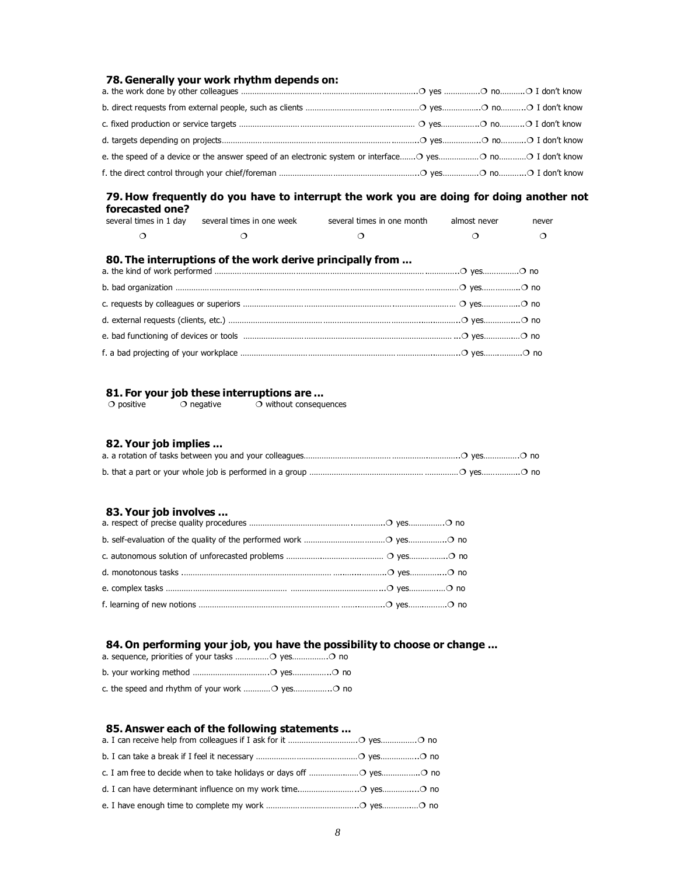## **78. Generally your work rhythm depends on:**

#### **79. How frequently do you have to interrupt the work you are doing for doing another not forecasted one?**

| several times in 1 dav | several times in one week | several times in one month | almost never | never |
|------------------------|---------------------------|----------------------------|--------------|-------|
|                        |                           |                            |              |       |

#### **80. The interruptions of the work derive principally from ...**

#### **81. For your job these interruptions are ...** nout consequences

| $\circ$ positive | $\circ$ negative | $\circ$ with |
|------------------|------------------|--------------|
|                  |                  |              |

#### **82. Your job implies ...**

#### **83. Your job involves ...**

## **84. On performing your job, you have the possibility to choose or change ...**

#### **85. Answer each of the following statements ...**

| a. I can receive help from colleagues if I ask for it $\ldots$ $\ldots$ $\ldots$ $\ldots$ $\ldots$ $\ldots$ $\ldots$ |  |
|----------------------------------------------------------------------------------------------------------------------|--|
|                                                                                                                      |  |
|                                                                                                                      |  |
|                                                                                                                      |  |
|                                                                                                                      |  |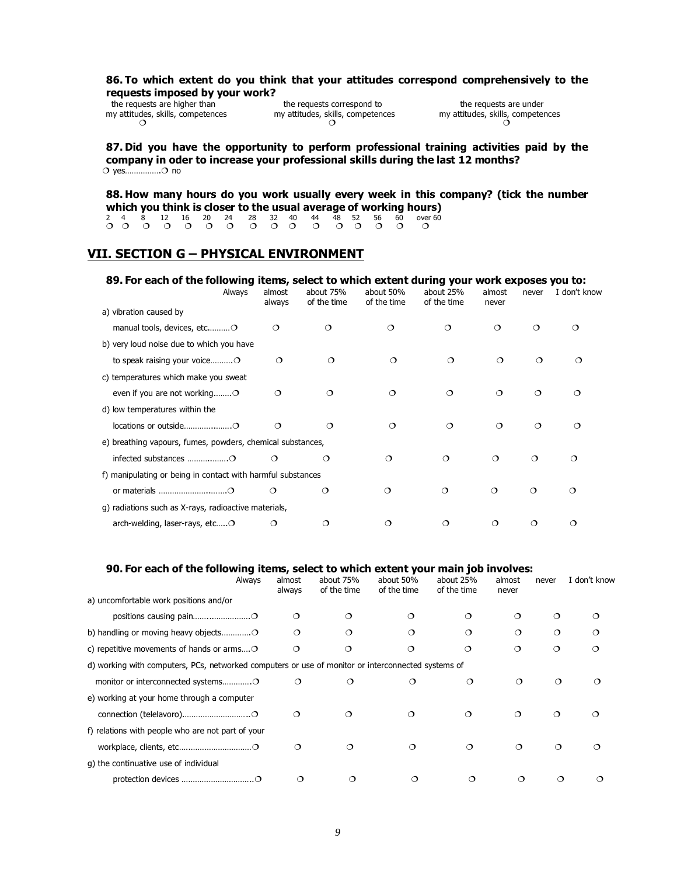#### **86. To which extent do you think that your attitudes correspond comprehensively to the requests imposed by your work?**

my attitudes, skills, competences my attitudes, skills, competences my attitudes, skills, competences o competences ¶ ¶ ¶

the requests are higher than the requests correspond to the requests are under

**87. Did you have the opportunity to perform professional training activities paid by the company in oder to increase your professional skills during the last 12 months?** O yes................O no

**88. How many hours do you work usually every week in this company? (tick the number which you think is closer to the usual average of working hours)**

2 4 8 12 16 20 24 28 32 40 44 48 52 56 60 over 60<br>
• O O O O O O O O O O O O O O O

# **VII. SECTION G – PHYSICAL ENVIRONMENT**

#### **89. For each of the following items, select to which extent during your work exposes you to:**

|                                                             | Always | almost<br>always | about 75%<br>of the time | about 50%<br>of the time | about 25%<br>of the time | almost<br>never | never    | I don't know |
|-------------------------------------------------------------|--------|------------------|--------------------------|--------------------------|--------------------------|-----------------|----------|--------------|
| a) vibration caused by                                      |        |                  |                          |                          |                          |                 |          |              |
| manual tools, devices, etcO                                 |        | ◯                | $\Omega$                 | $\circ$                  | $\circ$                  | $\Omega$        | $\Omega$ | $\circ$      |
| b) very loud noise due to which you have                    |        |                  |                          |                          |                          |                 |          |              |
|                                                             |        | $\circ$          | O                        | $\circ$                  | $\circ$                  | $\Omega$        | Ω        | ◯            |
| c) temperatures which make you sweat                        |        |                  |                          |                          |                          |                 |          |              |
|                                                             |        | $\Omega$         | ◯                        | $\Omega$                 | $\circ$                  | $\circ$         | $\circ$  | $\Omega$     |
| d) low temperatures within the                              |        |                  |                          |                          |                          |                 |          |              |
|                                                             |        | $\Omega$         | Ω                        | $\circ$                  | $\circ$                  | $\circ$         | $\circ$  | $\Omega$     |
| e) breathing vapours, fumes, powders, chemical substances,  |        |                  |                          |                          |                          |                 |          |              |
|                                                             |        | $\Omega$         | $\circ$                  | $\Omega$                 | $\circ$                  | $\circ$         | $\circ$  | $\circ$      |
| f) manipulating or being in contact with harmful substances |        |                  |                          |                          |                          |                 |          |              |
|                                                             |        | $\Omega$         | $\circ$                  | $\circ$                  | $\circ$                  | $\circ$         | $\Omega$ | ◯            |
| g) radiations such as X-rays, radioactive materials,        |        |                  |                          |                          |                          |                 |          |              |
| arch-welding, laser-rays, etcO                              |        | ◯                | $\circ$                  | Ω                        | ◯                        | Ο               | ◯        | $\circ$      |

#### **90. For each of the following items, select to which extent your main job involves:**

| Always                                                                                             | almost<br>always | about 75%<br>of the time | about 50%<br>of the time | about 25%<br>of the time | almost<br>never | never | I don't know |
|----------------------------------------------------------------------------------------------------|------------------|--------------------------|--------------------------|--------------------------|-----------------|-------|--------------|
| a) uncomfortable work positions and/or                                                             |                  |                          |                          |                          |                 |       |              |
|                                                                                                    | ⌒                |                          |                          |                          | ◯               | ⌒     |              |
|                                                                                                    | ⌒                |                          |                          |                          | $\Omega$        | ⌒     |              |
| c) repetitive movements of hands or arms O                                                         | ⌒                |                          | ◯                        | $\circ$                  | $\Omega$        | ◯     | ∩            |
| d) working with computers, PCs, networked computers or use of monitor or interconnected systems of |                  |                          |                          |                          |                 |       |              |
|                                                                                                    | ◯                |                          |                          | ◯                        | ◯               | ◯     |              |
| e) working at your home through a computer                                                         |                  |                          |                          |                          |                 |       |              |
|                                                                                                    | ◯                | ∩                        | ◯                        | $\Omega$                 | $\Omega$        | ◯     |              |
| f) relations with people who are not part of your                                                  |                  |                          |                          |                          |                 |       |              |
|                                                                                                    | Ο                | ∩                        | ∩                        | ∩                        | ◯               | ∩     |              |
| g) the continuative use of individual                                                              |                  |                          |                          |                          |                 |       |              |
|                                                                                                    |                  |                          |                          |                          |                 |       |              |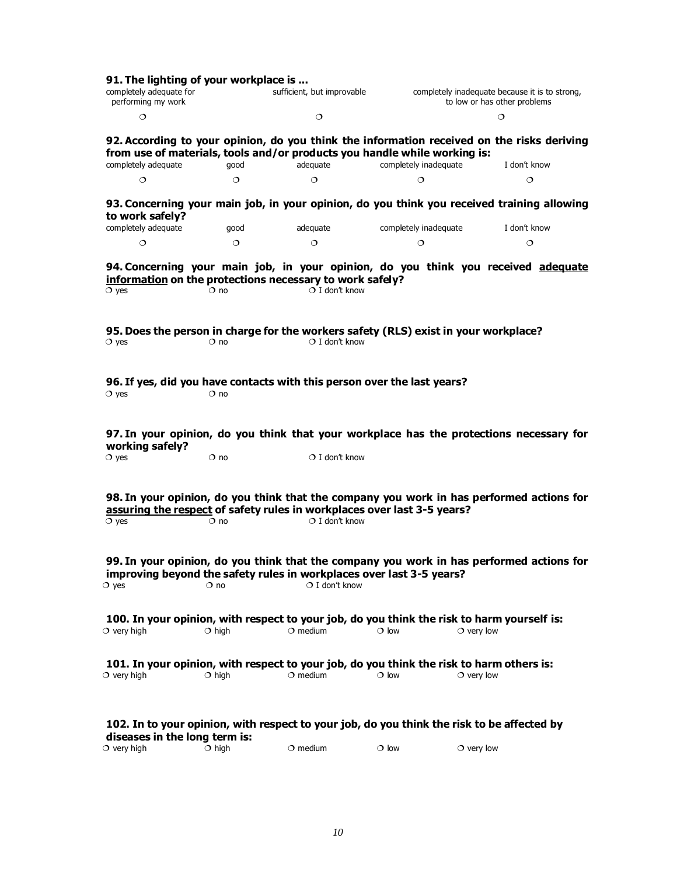| 91. The lighting of your workplace is<br>completely adequate for<br>performing my work                        |              | sufficient, but improvable |                       | completely inadequate because it is to strong,<br>to low or has other problems                                 |
|---------------------------------------------------------------------------------------------------------------|--------------|----------------------------|-----------------------|----------------------------------------------------------------------------------------------------------------|
| $\circ$                                                                                                       |              | $\circ$                    |                       | $\circ$                                                                                                        |
| from use of materials, tools and/or products you handle while working is:                                     |              |                            |                       | 92. According to your opinion, do you think the information received on the risks deriving                     |
| completely adequate                                                                                           | qood         | adequate                   | completely inadequate | I don't know                                                                                                   |
| $\circ$                                                                                                       | $\Omega$     | $\circ$                    | $\circ$               | $\circ$                                                                                                        |
| to work safely?                                                                                               |              |                            |                       | 93. Concerning your main job, in your opinion, do you think you received training allowing                     |
| completely adequate                                                                                           | good         | adequate                   | completely inadequate | I don't know                                                                                                   |
| $\circ$                                                                                                       | $\circ$      | $\circ$                    | $\circ$               | $\circ$                                                                                                        |
| information on the protections necessary to work safely?<br>$\circ$ yes                                       | $\circ$ no   | $O$ I don't know           |                       | 94. Concerning your main job, in your opinion, do you think you received adequate                              |
| 95. Does the person in charge for the workers safety (RLS) exist in your workplace?<br>$\circ$ yes            | $\circ$ no   | $O$ I don't know           |                       |                                                                                                                |
| 96. If yes, did you have contacts with this person over the last years?<br>$\circ$ yes                        | $\circ$ no   |                            |                       |                                                                                                                |
| working safely?                                                                                               |              |                            |                       | 97. In your opinion, do you think that your workplace has the protections necessary for                        |
| $\circ$ yes                                                                                                   | $\circ$ no   | $\bigcirc$ I don't know    |                       |                                                                                                                |
| assuring the respect of safety rules in workplaces over last 3-5 years?<br>$\circ$ yes                        | $\circ$ no   | $O$ I don't know           |                       | 98. In your opinion, do you think that the company you work in has performed actions for                       |
| improving beyond the safety rules in workplaces over last 3-5 years?<br>$\circ$ yes                           | $\Omega$ no  | $\bigcirc$ I don't know    |                       | 99. In your opinion, do you think that the company you work in has performed actions for                       |
| $\circ$ very high                                                                                             | $\circ$ high | $\circ$ medium             | $\circ$ low           | 100. In your opinion, with respect to your job, do you think the risk to harm yourself is:<br>$\circ$ very low |
| 101. In your opinion, with respect to your job, do you think the risk to harm others is:<br>$\circ$ very high | $\circ$ high | $\circ$ medium             | $\Omega$ low          | $\circ$ very low                                                                                               |
| diseases in the long term is:                                                                                 |              |                            |                       | 102. In to your opinion, with respect to your job, do you think the risk to be affected by                     |
| $\circ$ very high                                                                                             | $\circ$ high | $\circ$ medium             | $\circ$ low           | $\circ$ very low                                                                                               |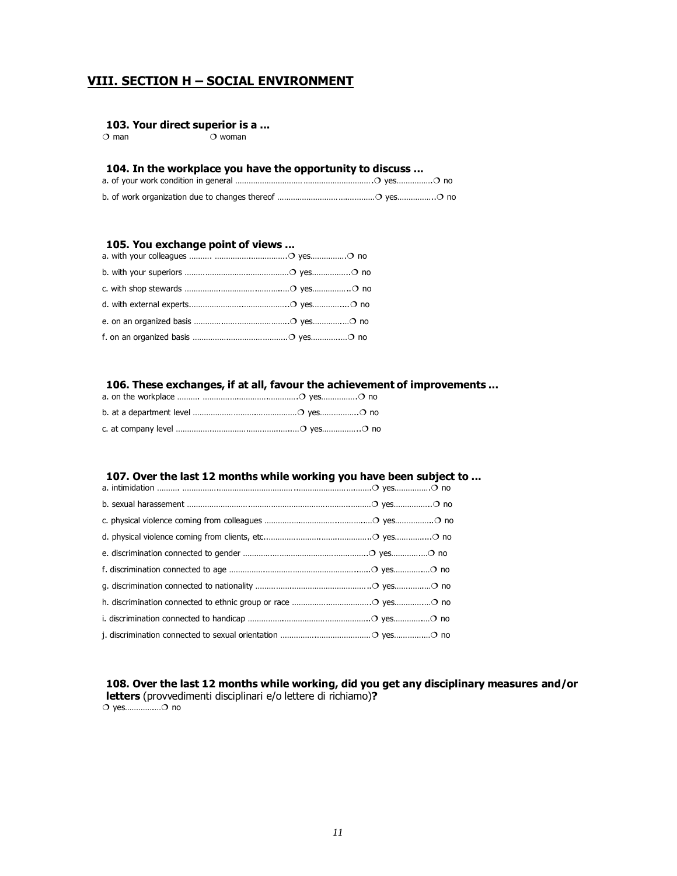# **VIII. SECTION H – SOCIAL ENVIRONMENT**

#### **103. Your direct superior is a ...**

 $\overline{O}$  man  $\overline{O}$  woman

#### **104. In the workplace you have the opportunity to discuss ...**

a. of your work condition in general …………………………………………………….¶ yes…………….¶ no b. of work organization due to changes thereof ………………………….…………¶ yes……………..¶ no

#### **105. You exchange point of views ...**

#### **106. These exchanges, if at all, favour the achievement of improvements ...**

# **107. Over the last 12 months while working you have been subject to ...**

#### **108. Over the last 12 months while working, did you get any disciplinary measures and/or letters** (provvedimenti disciplinari e/o lettere di richiamo)**?** ¶ yes………….…¶ no